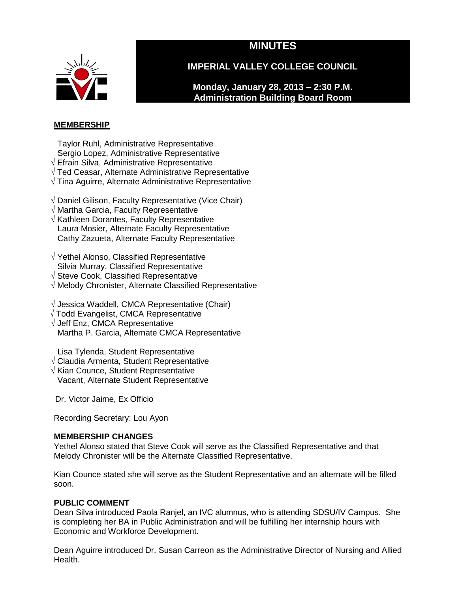# **MINUTES**



**IMPERIAL VALLEY COLLEGE COUNCIL**

**Monday, January 28, 2013 – 2:30 P.M. Administration Building Board Room**

# **MEMBERSHIP**

Taylor Ruhl, Administrative Representative Sergio Lopez, Administrative Representative

- √ Efrain Silva, Administrative Representative
- √ Ted Ceasar, Alternate Administrative Representative
- √ Tina Aguirre, Alternate Administrative Representative
- √ Daniel Gilison, Faculty Representative (Vice Chair)
- √ Martha Garcia, Faculty Representative
- √ Kathleen Dorantes, Faculty Representative Laura Mosier, Alternate Faculty Representative Cathy Zazueta, Alternate Faculty Representative
- √ Yethel Alonso, Classified Representative Silvia Murray, Classified Representative
- √ Steve Cook, Classified Representative
- √ Melody Chronister, Alternate Classified Representative
- √ Jessica Waddell, CMCA Representative (Chair)
- √ Todd Evangelist, CMCA Representative
- √ Jeff Enz, CMCA Representative Martha P. Garcia, Alternate CMCA Representative
- Lisa Tylenda, Student Representative
- √ Claudia Armenta, Student Representative
- √ Kian Counce, Student Representative Vacant, Alternate Student Representative

Dr. Victor Jaime, Ex Officio

Recording Secretary: Lou Ayon

# **MEMBERSHIP CHANGES**

Yethel Alonso stated that Steve Cook will serve as the Classified Representative and that Melody Chronister will be the Alternate Classified Representative.

Kian Counce stated she will serve as the Student Representative and an alternate will be filled soon.

# **PUBLIC COMMENT**

Dean Silva introduced Paola Ranjel, an IVC alumnus, who is attending SDSU/IV Campus. She is completing her BA in Public Administration and will be fulfilling her internship hours with Economic and Workforce Development.

Dean Aguirre introduced Dr. Susan Carreon as the Administrative Director of Nursing and Allied Health.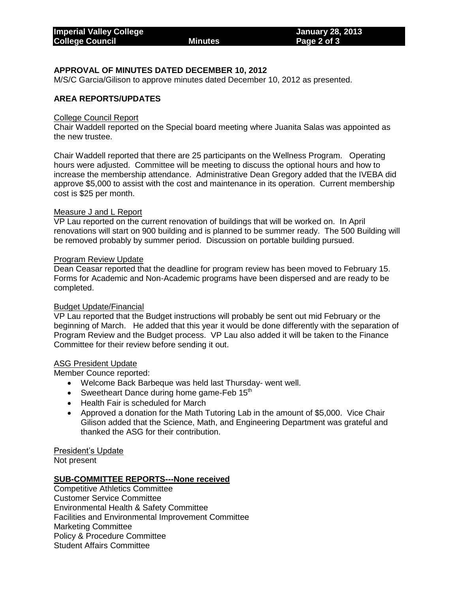# **APPROVAL OF MINUTES DATED DECEMBER 10, 2012**

M/S/C Garcia/Gilison to approve minutes dated December 10, 2012 as presented.

## **AREA REPORTS/UPDATES**

#### College Council Report

Chair Waddell reported on the Special board meeting where Juanita Salas was appointed as the new trustee.

Chair Waddell reported that there are 25 participants on the Wellness Program. Operating hours were adjusted. Committee will be meeting to discuss the optional hours and how to increase the membership attendance. Administrative Dean Gregory added that the IVEBA did approve \$5,000 to assist with the cost and maintenance in its operation. Current membership cost is \$25 per month.

### Measure J and L Report

VP Lau reported on the current renovation of buildings that will be worked on. In April renovations will start on 900 building and is planned to be summer ready. The 500 Building will be removed probably by summer period. Discussion on portable building pursued.

#### Program Review Update

Dean Ceasar reported that the deadline for program review has been moved to February 15. Forms for Academic and Non-Academic programs have been dispersed and are ready to be completed.

#### Budget Update/Financial

VP Lau reported that the Budget instructions will probably be sent out mid February or the beginning of March. He added that this year it would be done differently with the separation of Program Review and the Budget process. VP Lau also added it will be taken to the Finance Committee for their review before sending it out.

#### ASG President Update

Member Counce reported:

- Welcome Back Barbeque was held last Thursday- went well.
- Sweetheart Dance during home game-Feb  $15<sup>th</sup>$
- Health Fair is scheduled for March
- Approved a donation for the Math Tutoring Lab in the amount of \$5,000. Vice Chair Gilison added that the Science, Math, and Engineering Department was grateful and thanked the ASG for their contribution.

President's Update Not present

## **SUB-COMMITTEE REPORTS---None received**

Competitive Athletics Committee Customer Service Committee Environmental Health & Safety Committee Facilities and Environmental Improvement Committee Marketing Committee Policy & Procedure Committee Student Affairs Committee